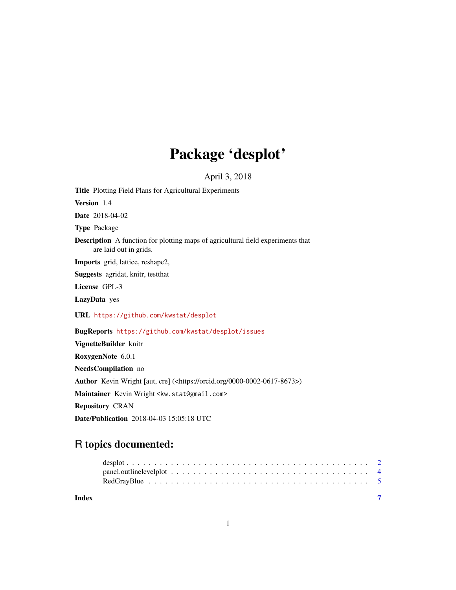## Package 'desplot'

April 3, 2018

Title Plotting Field Plans for Agricultural Experiments Version 1.4 Date 2018-04-02 Type Package Description A function for plotting maps of agricultural field experiments that are laid out in grids. Imports grid, lattice, reshape2, Suggests agridat, knitr, testthat License GPL-3 LazyData yes URL <https://github.com/kwstat/desplot> BugReports <https://github.com/kwstat/desplot/issues> VignetteBuilder knitr RoxygenNote 6.0.1 NeedsCompilation no Author Kevin Wright [aut, cre] (<https://orcid.org/0000-0002-0617-8673>) Maintainer Kevin Wright <kw.stat@gmail.com> Repository CRAN

Date/Publication 2018-04-03 15:05:18 UTC

### R topics documented:

| Index |  |  |  |  |  |  |  |  |  |  |  |  |  |  |  |  |
|-------|--|--|--|--|--|--|--|--|--|--|--|--|--|--|--|--|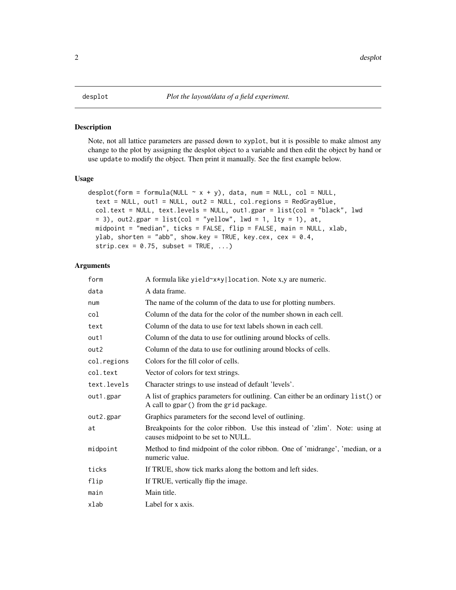#### <span id="page-1-0"></span>Description

Note, not all lattice parameters are passed down to xyplot, but it is possible to make almost any change to the plot by assigning the desplot object to a variable and then edit the object by hand or use update to modify the object. Then print it manually. See the first example below.

#### Usage

```
desplot(form = formula(NULL \sim x + y), data, num = NULL, col = NULL,
  text = NULL, out1 = NULL, out2 = NULL, col.regions = RedGrayBlue,
 col.text = NULL, text.length = NULL, out1.gpar = list(col = "black", lwd= 3), out2.gpar = list(col = "yellow", lwd = 1, lty = 1), at,
 midpoint = "median", ticks = FALSE, flip = FALSE, main = NULL, xlab,
 ylab, shorten = "abb", show.key = TRUE, key.cex, cex = 0.4,
 strip.cex = 0.75, subset = TRUE, ...)
```
#### Arguments

| form        | A formula like yield~x*y location. Note x,y are numeric.                                                                    |
|-------------|-----------------------------------------------------------------------------------------------------------------------------|
| data        | A data frame.                                                                                                               |
| num         | The name of the column of the data to use for plotting numbers.                                                             |
| col         | Column of the data for the color of the number shown in each cell.                                                          |
| text        | Column of the data to use for text labels shown in each cell.                                                               |
| out1        | Column of the data to use for outlining around blocks of cells.                                                             |
| out2        | Column of the data to use for outlining around blocks of cells.                                                             |
| col.regions | Colors for the fill color of cells.                                                                                         |
| col.text    | Vector of colors for text strings.                                                                                          |
| text.levels | Character strings to use instead of default 'levels'.                                                                       |
| out1.gpar   | A list of graphics parameters for outlining. Can either be an ordinary list() or<br>A call to gpar() from the grid package. |
| out2.gpar   | Graphics parameters for the second level of outlining.                                                                      |
| at          | Breakpoints for the color ribbon. Use this instead of 'zlim'. Note: using at<br>causes midpoint to be set to NULL.          |
| midpoint    | Method to find midpoint of the color ribbon. One of 'midrange', 'median, or a<br>numeric value.                             |
| ticks       | If TRUE, show tick marks along the bottom and left sides.                                                                   |
| flip        | If TRUE, vertically flip the image.                                                                                         |
| main        | Main title.                                                                                                                 |
| xlab        | Label for x axis.                                                                                                           |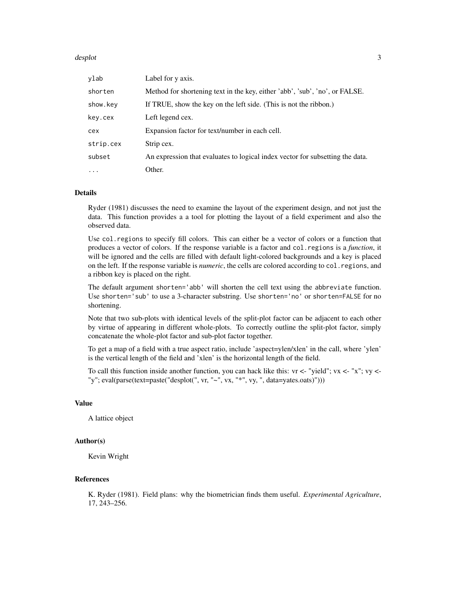#### desplot 3

| ylab      | Label for y axis.                                                             |
|-----------|-------------------------------------------------------------------------------|
| shorten   | Method for shortening text in the key, either 'abb', 'sub', 'no', or FALSE.   |
| show.key  | If TRUE, show the key on the left side. (This is not the ribbon.)             |
| key.cex   | Left legend cex.                                                              |
| cex       | Expansion factor for text/number in each cell.                                |
| strip.cex | Strip cex.                                                                    |
| subset    | An expression that evaluates to logical index vector for subsetting the data. |
| $\ddotsc$ | Other.                                                                        |

#### Details

Ryder (1981) discusses the need to examine the layout of the experiment design, and not just the data. This function provides a a tool for plotting the layout of a field experiment and also the observed data.

Use col.regions to specify fill colors. This can either be a vector of colors or a function that produces a vector of colors. If the response variable is a factor and col.regions is a *function*, it will be ignored and the cells are filled with default light-colored backgrounds and a key is placed on the left. If the response variable is *numeric*, the cells are colored according to col.regions, and a ribbon key is placed on the right.

The default argument shorten='abb' will shorten the cell text using the abbreviate function. Use shorten='sub' to use a 3-character substring. Use shorten='no' or shorten=FALSE for no shortening.

Note that two sub-plots with identical levels of the split-plot factor can be adjacent to each other by virtue of appearing in different whole-plots. To correctly outline the split-plot factor, simply concatenate the whole-plot factor and sub-plot factor together.

To get a map of a field with a true aspect ratio, include 'aspect=ylen/xlen' in the call, where 'ylen' is the vertical length of the field and 'xlen' is the horizontal length of the field.

To call this function inside another function, you can hack like this:  $vr \leq$ - "yield";  $vx \leq$ - "x";  $vy \leq$ -"y"; eval(parse(text=paste("desplot(", vr, "~", vx, "\*", vy, ", data=yates.oats)")))

#### Value

A lattice object

#### Author(s)

Kevin Wright

#### References

K. Ryder (1981). Field plans: why the biometrician finds them useful. *Experimental Agriculture*, 17, 243–256.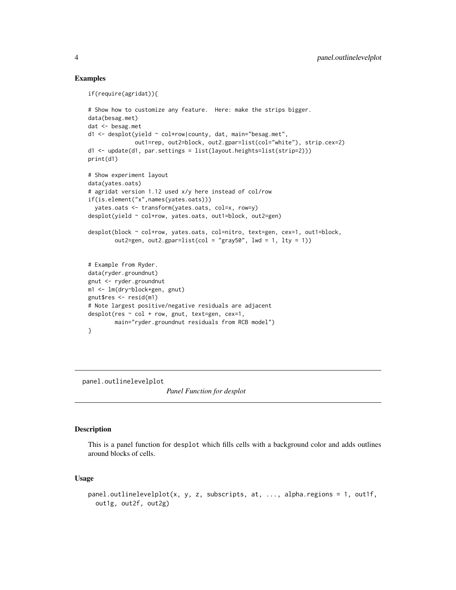#### Examples

```
if(require(agridat)){
# Show how to customize any feature. Here: make the strips bigger.
data(besag.met)
dat <- besag.met
d1 <- desplot(yield ~ col*row|county, dat, main="besag.met",
              out1=rep, out2=block, out2.gpar=list(col="white"), strip.cex=2)
d1 <- update(d1, par.settings = list(layout.heights=list(strip=2)))
print(d1)
# Show experiment layout
data(yates.oats)
# agridat version 1.12 used x/y here instead of col/row
if(is.element("x",names(yates.oats)))
  yates.oats <- transform(yates.oats, col=x, row=y)
desplot(yield ~ col+row, yates.oats, out1=block, out2=gen)
desplot(block ~ col+row, yates.oats, col=nitro, text=gen, cex=1, out1=block,
        out2=gen, out2.gpar=list(col = "gray50", lwd = 1, lty = 1))
# Example from Ryder.
data(ryder.groundnut)
gnut <- ryder.groundnut
m1 <- lm(dry~block+gen, gnut)
gnut$res <- resid(m1)
# Note largest positive/negative residuals are adjacent
desplot(res ~ col + row, gnut, text=gen, cex=1,
       main="ryder.groundnut residuals from RCB model")
}
```
panel.outlinelevelplot

*Panel Function for desplot*

#### Description

This is a panel function for desplot which fills cells with a background color and adds outlines around blocks of cells.

#### Usage

```
panel.outlinelevelplot(x, y, z, subscripts, at, ..., alpha.regions = 1, out1f,
 out1g, out2f, out2g)
```
<span id="page-3-0"></span>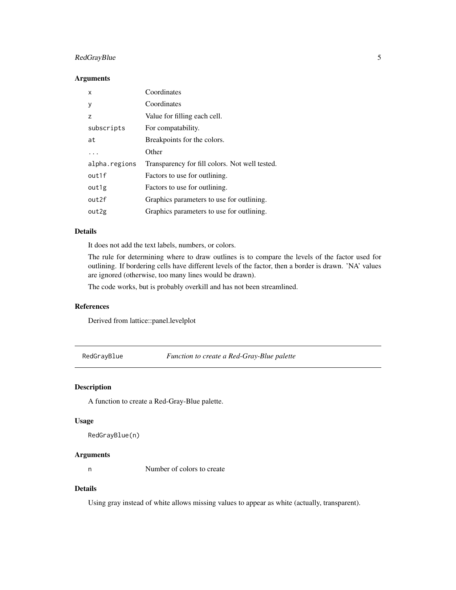#### <span id="page-4-0"></span>RedGrayBlue 5

#### Arguments

| X                 | Coordinates                                    |
|-------------------|------------------------------------------------|
| y                 | Coordinates                                    |
| z                 | Value for filling each cell.                   |
| subscripts        | For compatability.                             |
| at                | Breakpoints for the colors.                    |
|                   | Other                                          |
| alpha.regions     | Transparency for fill colors. Not well tested. |
| out1f             | Factors to use for outlining.                  |
| out1g             | Factors to use for outlining.                  |
| out <sub>2f</sub> | Graphics parameters to use for outlining.      |
| out2g             | Graphics parameters to use for outlining.      |

#### Details

It does not add the text labels, numbers, or colors.

The rule for determining where to draw outlines is to compare the levels of the factor used for outlining. If bordering cells have different levels of the factor, then a border is drawn. 'NA' values are ignored (otherwise, too many lines would be drawn).

The code works, but is probably overkill and has not been streamlined.

#### References

Derived from lattice::panel.levelplot

RedGrayBlue *Function to create a Red-Gray-Blue palette*

#### Description

A function to create a Red-Gray-Blue palette.

#### Usage

```
RedGrayBlue(n)
```
#### Arguments

n Number of colors to create

#### Details

Using gray instead of white allows missing values to appear as white (actually, transparent).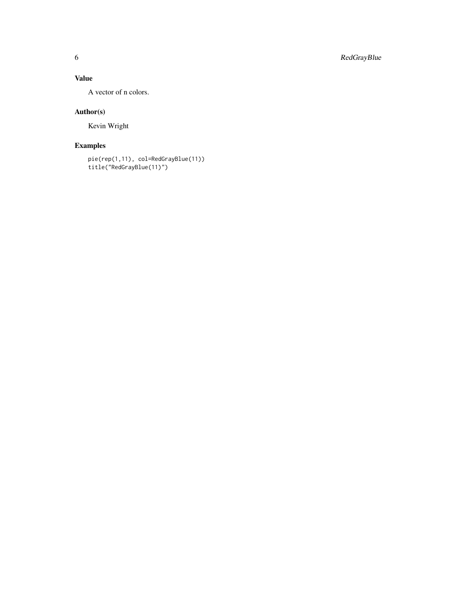6 RedGrayBlue

#### Value

A vector of n colors.

#### Author(s)

Kevin Wright

#### Examples

```
pie(rep(1,11), col=RedGrayBlue(11))
title("RedGrayBlue(11)")
```